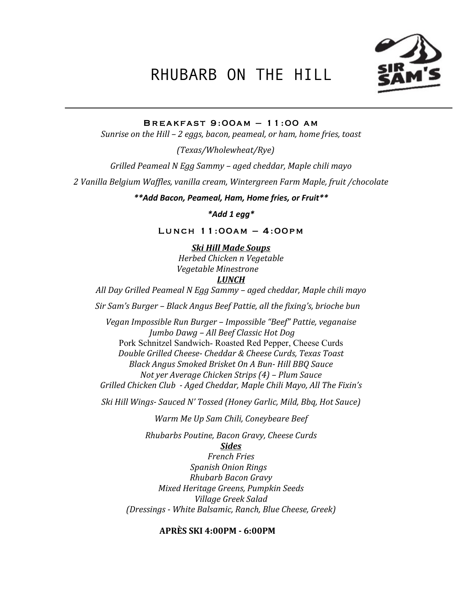# RHUBARB ON THE HILL



Breakfast 9:00am – 11:00 am

*Sunrise* on the Hill – 2 eggs, bacon, peameal, or ham, home fries, toast

*(Texas/Wholewheat/Rye)* 

Grilled Peameal N Egg Sammy – aged cheddar, Maple chili mayo

*2 Vanilla Belgium Waffles, vanilla cream, Wintergreen Farm Maple, fruit /chocolate* 

*\*\*Add Bacon, Peameal, Ham, Home fries, or Fruit\*\**

*\*Add 1 egg\** 

### Lunch 11:00am – 4:00pm

# *Ski Hill Made Soups*

*Herbed Chicken n Vegetable Vegetable Minestrone LUNCH*

All Day Grilled Peameal N Egg Sammy – aged cheddar, Maple chili mayo

*Sir Sam's Burger – Black Angus Beef Pattie, all the fixing's, brioche bun* 

Vegan Impossible Run Burger – Impossible "Beef" Pattie, veganaise *Jumbo Dawg* – All Beef Classic Hot Dog Pork Schnitzel Sandwich- Roasted Red Pepper, Cheese Curds *Double Grilled Cheese- Cheddar & Cheese Curds, Texas Toast Black Angus Smoked Brisket On A Bun- Hill BBQ Sauce Not yer Average Chicken Strips*  $(4)$  – *Plum Sauce* Grilled Chicken Club - Aged Cheddar, Maple Chili Mayo, All The Fixin's

*Ski Hill Wings-Sauced N' Tossed (Honey Garlic, Mild, Bbq, Hot Sauce)* 

**Warm Me Up Sam Chili, Coneybeare Beef** 

*Rhubarbs Poutine, Bacon Gravy, Cheese Curds Sides*

*French Fries* 

*Spanish Onion Rings Rhubarb Bacon Gravy Mixed Heritage Greens, Pumpkin Seeds Village Greek Salad (Dressings - White Balsamic, Ranch, Blue Cheese, Greek)* 

# **APRÈS SKI 4:00PM - 6:00PM**